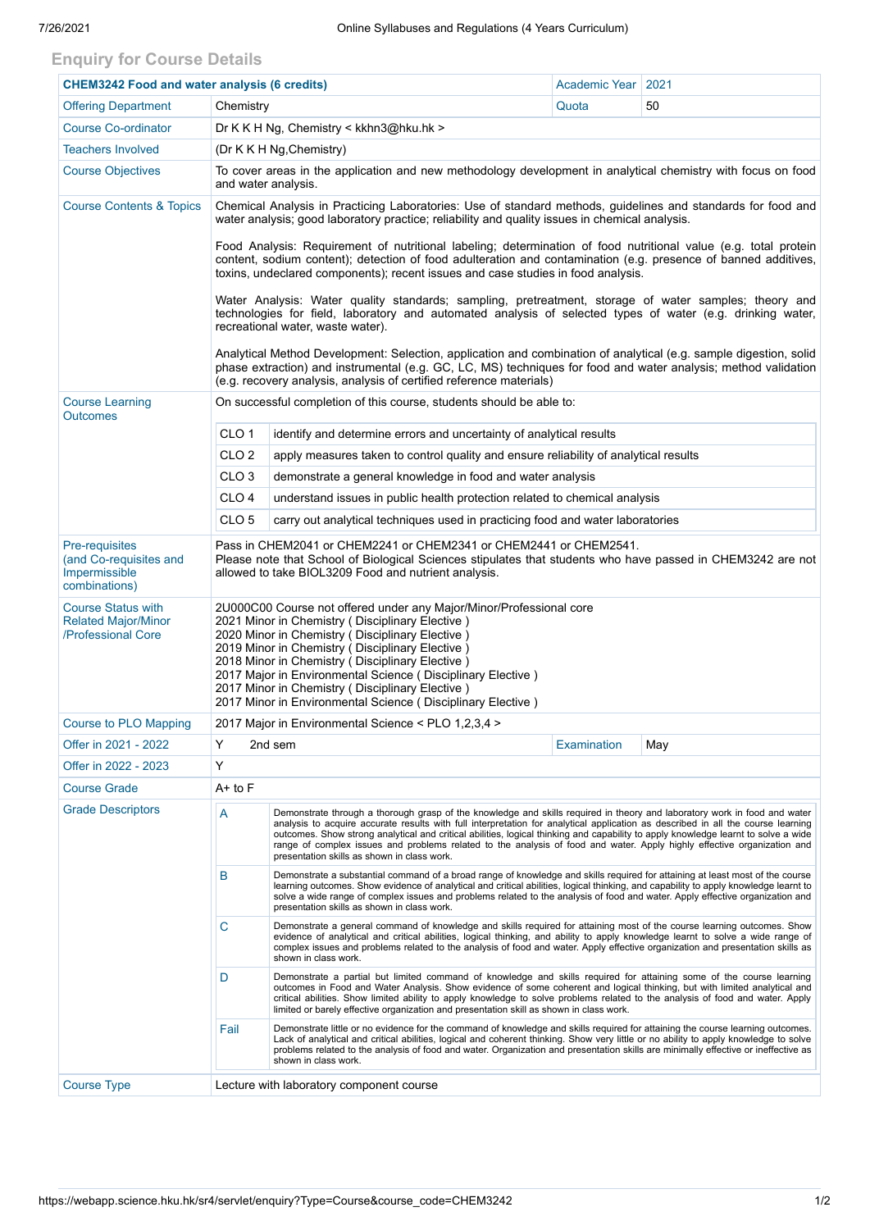## **Enquiry for Course Details**

| <b>CHEM3242 Food and water analysis (6 credits)</b>                           |                                                                                                                                                                                                                                                                                                                                                                                                                                                                  |                                                                                                                                                                                                                                                                                                                                                                                                                                                                                                                                                                               | Academic Year | 2021 |  |  |  |  |
|-------------------------------------------------------------------------------|------------------------------------------------------------------------------------------------------------------------------------------------------------------------------------------------------------------------------------------------------------------------------------------------------------------------------------------------------------------------------------------------------------------------------------------------------------------|-------------------------------------------------------------------------------------------------------------------------------------------------------------------------------------------------------------------------------------------------------------------------------------------------------------------------------------------------------------------------------------------------------------------------------------------------------------------------------------------------------------------------------------------------------------------------------|---------------|------|--|--|--|--|
| <b>Offering Department</b>                                                    | Chemistry                                                                                                                                                                                                                                                                                                                                                                                                                                                        |                                                                                                                                                                                                                                                                                                                                                                                                                                                                                                                                                                               | Quota         | 50   |  |  |  |  |
| <b>Course Co-ordinator</b>                                                    |                                                                                                                                                                                                                                                                                                                                                                                                                                                                  | Dr K K H Ng, Chemistry < kkhn3@hku.hk >                                                                                                                                                                                                                                                                                                                                                                                                                                                                                                                                       |               |      |  |  |  |  |
| <b>Teachers Involved</b>                                                      | (Dr K K H Ng, Chemistry)                                                                                                                                                                                                                                                                                                                                                                                                                                         |                                                                                                                                                                                                                                                                                                                                                                                                                                                                                                                                                                               |               |      |  |  |  |  |
| <b>Course Objectives</b>                                                      | To cover areas in the application and new methodology development in analytical chemistry with focus on food<br>and water analysis.                                                                                                                                                                                                                                                                                                                              |                                                                                                                                                                                                                                                                                                                                                                                                                                                                                                                                                                               |               |      |  |  |  |  |
| <b>Course Contents &amp; Topics</b>                                           | Chemical Analysis in Practicing Laboratories: Use of standard methods, guidelines and standards for food and<br>water analysis; good laboratory practice; reliability and quality issues in chemical analysis.                                                                                                                                                                                                                                                   |                                                                                                                                                                                                                                                                                                                                                                                                                                                                                                                                                                               |               |      |  |  |  |  |
|                                                                               | Food Analysis: Requirement of nutritional labeling; determination of food nutritional value (e.g. total protein<br>content, sodium content); detection of food adulteration and contamination (e.g. presence of banned additives,<br>toxins, undeclared components); recent issues and case studies in food analysis.                                                                                                                                            |                                                                                                                                                                                                                                                                                                                                                                                                                                                                                                                                                                               |               |      |  |  |  |  |
|                                                                               | Water Analysis: Water quality standards; sampling, pretreatment, storage of water samples; theory and<br>technologies for field, laboratory and automated analysis of selected types of water (e.g. drinking water,<br>recreational water, waste water).                                                                                                                                                                                                         |                                                                                                                                                                                                                                                                                                                                                                                                                                                                                                                                                                               |               |      |  |  |  |  |
|                                                                               | Analytical Method Development: Selection, application and combination of analytical (e.g. sample digestion, solid<br>phase extraction) and instrumental (e.g. GC, LC, MS) techniques for food and water analysis; method validation<br>(e.g. recovery analysis, analysis of certified reference materials)                                                                                                                                                       |                                                                                                                                                                                                                                                                                                                                                                                                                                                                                                                                                                               |               |      |  |  |  |  |
| <b>Course Learning</b><br><b>Outcomes</b>                                     | On successful completion of this course, students should be able to:                                                                                                                                                                                                                                                                                                                                                                                             |                                                                                                                                                                                                                                                                                                                                                                                                                                                                                                                                                                               |               |      |  |  |  |  |
|                                                                               | CLO <sub>1</sub>                                                                                                                                                                                                                                                                                                                                                                                                                                                 | identify and determine errors and uncertainty of analytical results                                                                                                                                                                                                                                                                                                                                                                                                                                                                                                           |               |      |  |  |  |  |
|                                                                               | CLO <sub>2</sub>                                                                                                                                                                                                                                                                                                                                                                                                                                                 | apply measures taken to control quality and ensure reliability of analytical results                                                                                                                                                                                                                                                                                                                                                                                                                                                                                          |               |      |  |  |  |  |
|                                                                               | CLO <sub>3</sub>                                                                                                                                                                                                                                                                                                                                                                                                                                                 | demonstrate a general knowledge in food and water analysis                                                                                                                                                                                                                                                                                                                                                                                                                                                                                                                    |               |      |  |  |  |  |
|                                                                               | CLO <sub>4</sub>                                                                                                                                                                                                                                                                                                                                                                                                                                                 | understand issues in public health protection related to chemical analysis                                                                                                                                                                                                                                                                                                                                                                                                                                                                                                    |               |      |  |  |  |  |
|                                                                               | CLO <sub>5</sub><br>carry out analytical techniques used in practicing food and water laboratories                                                                                                                                                                                                                                                                                                                                                               |                                                                                                                                                                                                                                                                                                                                                                                                                                                                                                                                                                               |               |      |  |  |  |  |
| Pre-requisites<br>(and Co-requisites and<br>Impermissible<br>combinations)    | Pass in CHEM2041 or CHEM2241 or CHEM2341 or CHEM2441 or CHEM2541.<br>Please note that School of Biological Sciences stipulates that students who have passed in CHEM3242 are not<br>allowed to take BIOL3209 Food and nutrient analysis.                                                                                                                                                                                                                         |                                                                                                                                                                                                                                                                                                                                                                                                                                                                                                                                                                               |               |      |  |  |  |  |
| <b>Course Status with</b><br><b>Related Major/Minor</b><br>/Professional Core | 2U000C00 Course not offered under any Major/Minor/Professional core<br>2021 Minor in Chemistry (Disciplinary Elective)<br>2020 Minor in Chemistry (Disciplinary Elective)<br>2019 Minor in Chemistry (Disciplinary Elective)<br>2018 Minor in Chemistry (Disciplinary Elective)<br>2017 Major in Environmental Science (Disciplinary Elective)<br>2017 Minor in Chemistry (Disciplinary Elective)<br>2017 Minor in Environmental Science (Disciplinary Elective) |                                                                                                                                                                                                                                                                                                                                                                                                                                                                                                                                                                               |               |      |  |  |  |  |
| <b>Course to PLO Mapping</b>                                                  | 2017 Major in Environmental Science < PLO 1,2,3,4 >                                                                                                                                                                                                                                                                                                                                                                                                              |                                                                                                                                                                                                                                                                                                                                                                                                                                                                                                                                                                               |               |      |  |  |  |  |
| Offer in 2021 - 2022                                                          | Y                                                                                                                                                                                                                                                                                                                                                                                                                                                                | 2nd sem                                                                                                                                                                                                                                                                                                                                                                                                                                                                                                                                                                       | Examination   | May  |  |  |  |  |
| Offer in 2022 - 2023                                                          | Y                                                                                                                                                                                                                                                                                                                                                                                                                                                                |                                                                                                                                                                                                                                                                                                                                                                                                                                                                                                                                                                               |               |      |  |  |  |  |
| <b>Course Grade</b>                                                           | $A+$ to $F$                                                                                                                                                                                                                                                                                                                                                                                                                                                      |                                                                                                                                                                                                                                                                                                                                                                                                                                                                                                                                                                               |               |      |  |  |  |  |
| <b>Grade Descriptors</b>                                                      | Α                                                                                                                                                                                                                                                                                                                                                                                                                                                                | Demonstrate through a thorough grasp of the knowledge and skills required in theory and laboratory work in food and water<br>analysis to acquire accurate results with full interpretation for analytical application as described in all the course learning<br>outcomes. Show strong analytical and critical abilities, logical thinking and capability to apply knowledge learnt to solve a wide<br>range of complex issues and problems related to the analysis of food and water. Apply highly effective organization and<br>presentation skills as shown in class work. |               |      |  |  |  |  |
|                                                                               | B                                                                                                                                                                                                                                                                                                                                                                                                                                                                | Demonstrate a substantial command of a broad range of knowledge and skills required for attaining at least most of the course<br>learning outcomes. Show evidence of analytical and critical abilities, logical thinking, and capability to apply knowledge learnt to<br>solve a wide range of complex issues and problems related to the analysis of food and water. Apply effective organization and<br>presentation skills as shown in class work.                                                                                                                         |               |      |  |  |  |  |
|                                                                               | C                                                                                                                                                                                                                                                                                                                                                                                                                                                                | Demonstrate a general command of knowledge and skills required for attaining most of the course learning outcomes. Show<br>evidence of analytical and critical abilities, logical thinking, and ability to apply knowledge learnt to solve a wide range of<br>complex issues and problems related to the analysis of food and water. Apply effective organization and presentation skills as<br>shown in class work.                                                                                                                                                          |               |      |  |  |  |  |
|                                                                               | D                                                                                                                                                                                                                                                                                                                                                                                                                                                                | Demonstrate a partial but limited command of knowledge and skills required for attaining some of the course learning<br>outcomes in Food and Water Analysis. Show evidence of some coherent and logical thinking, but with limited analytical and<br>critical abilities. Show limited ability to apply knowledge to solve problems related to the analysis of food and water. Apply<br>limited or barely effective organization and presentation skill as shown in class work.                                                                                                |               |      |  |  |  |  |
|                                                                               | Fail                                                                                                                                                                                                                                                                                                                                                                                                                                                             | Demonstrate little or no evidence for the command of knowledge and skills required for attaining the course learning outcomes.<br>Lack of analytical and critical abilities, logical and coherent thinking. Show very little or no ability to apply knowledge to solve<br>problems related to the analysis of food and water. Organization and presentation skills are minimally effective or ineffective as<br>shown in class work.                                                                                                                                          |               |      |  |  |  |  |
| <b>Course Type</b>                                                            | Lecture with laboratory component course                                                                                                                                                                                                                                                                                                                                                                                                                         |                                                                                                                                                                                                                                                                                                                                                                                                                                                                                                                                                                               |               |      |  |  |  |  |
|                                                                               |                                                                                                                                                                                                                                                                                                                                                                                                                                                                  |                                                                                                                                                                                                                                                                                                                                                                                                                                                                                                                                                                               |               |      |  |  |  |  |